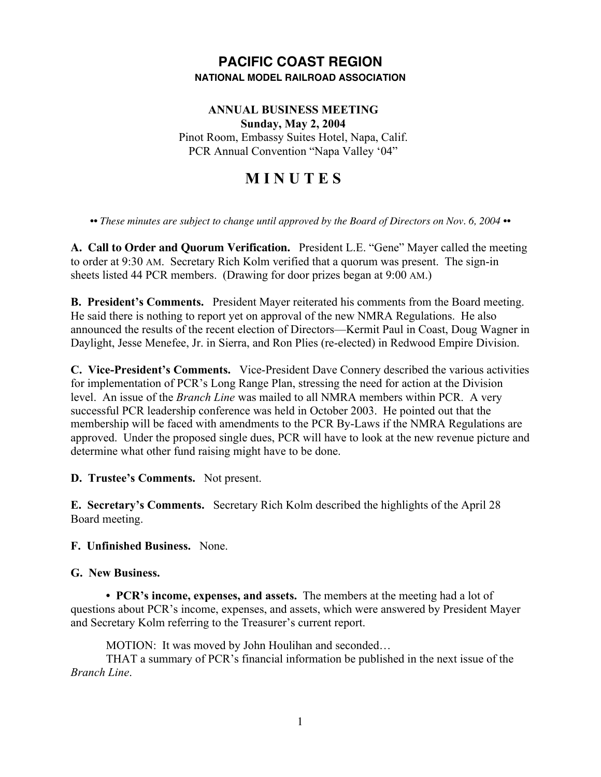## **PACIFIC COAST REGION NATIONAL MODEL RAILROAD ASSOCIATION**

### **ANNUAL BUSINESS MEETING Sunday, May 2, 2004** Pinot Room, Embassy Suites Hotel, Napa, Calif. PCR Annual Convention "Napa Valley '04"

# **M I N U T E S**

*•• These minutes are subject to change until approved by the Board of Directors on Nov. 6, 2004 ••*

**A. Call to Order and Quorum Verification.** President L.E. "Gene" Mayer called the meeting to order at 9:30 AM. Secretary Rich Kolm verified that a quorum was present. The sign-in sheets listed 44 PCR members. (Drawing for door prizes began at 9:00 AM.)

**B. President's Comments.** President Mayer reiterated his comments from the Board meeting. He said there is nothing to report yet on approval of the new NMRA Regulations. He also announced the results of the recent election of Directors—Kermit Paul in Coast, Doug Wagner in Daylight, Jesse Menefee, Jr. in Sierra, and Ron Plies (re-elected) in Redwood Empire Division.

**C. Vice-President's Comments.** Vice-President Dave Connery described the various activities for implementation of PCR's Long Range Plan, stressing the need for action at the Division level. An issue of the *Branch Line* was mailed to all NMRA members within PCR. A very successful PCR leadership conference was held in October 2003. He pointed out that the membership will be faced with amendments to the PCR By-Laws if the NMRA Regulations are approved. Under the proposed single dues, PCR will have to look at the new revenue picture and determine what other fund raising might have to be done.

**D. Trustee's Comments.** Not present.

**E. Secretary's Comments.** Secretary Rich Kolm described the highlights of the April 28 Board meeting.

#### **F. Unfinished Business.** None.

#### **G. New Business.**

**• PCR's income, expenses, and assets.** The members at the meeting had a lot of questions about PCR's income, expenses, and assets, which were answered by President Mayer and Secretary Kolm referring to the Treasurer's current report.

MOTION: It was moved by John Houlihan and seconded…

THAT a summary of PCR's financial information be published in the next issue of the *Branch Line*.